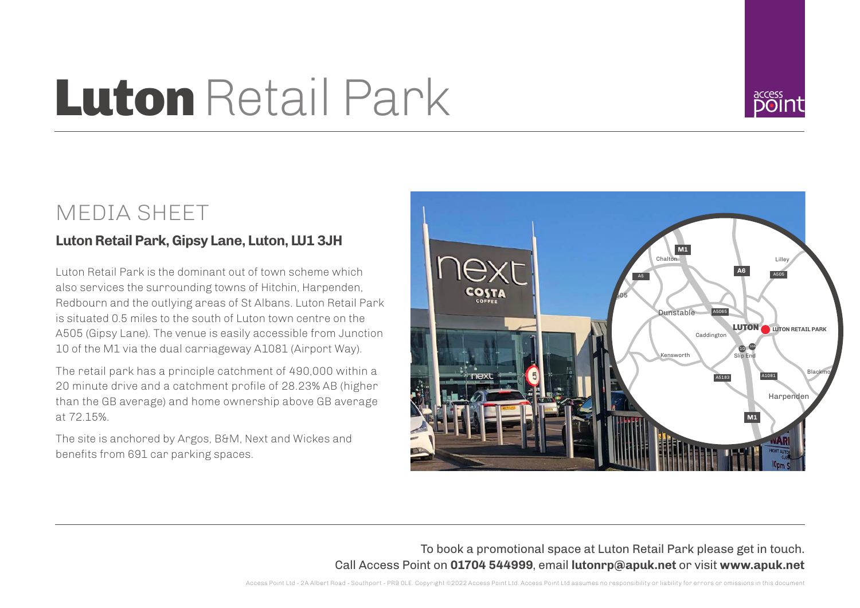# **Luton Retail Park**



## MEDIA SHEET

### **Luton Retail Park, Gipsy Lane, Luton, LU1 3JH**

Luton Retail Park is the dominant out of town scheme which also services the surrounding towns of Hitchin, Harpenden, Redbourn and the outlying areas of St Albans. Luton Retail Park is situated 0.5 miles to the south of Luton town centre on the A505 (Gipsy Lane). The venue is easily accessible from Junction 10 of the M1 via the dual carriageway A1081 (Airport Way).

The retail park has a principle catchment of 490,000 within a 20 minute drive and a catchment profile of 28.23% AB (higher than the GB average) and home ownership above GB average at 72.15%.

The site is anchored by Argos, B&M, Next and Wickes and benefits from 691 car parking spaces.



To book a promotional space at Luton Retail Park please get in touch. Call Access Point on **01704 544999**, email **lutonrp@apuk.net** or visit **www.apuk.net**